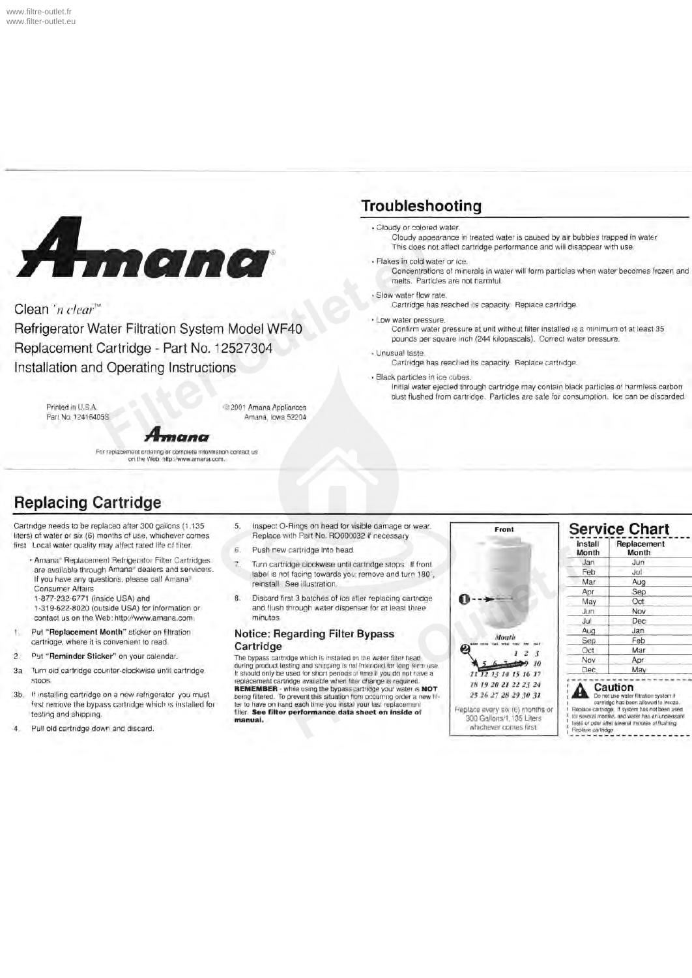

Clean 'n clear<sup>"</sup>

Refrigerator Water Filtration System Model WF40 Replacement Cartridge - Part No. 12527304 Installation and Operating Instructions

Printed in U.S.A. ©2001 Amana Appliances<br>Part No. 12416405S<br>Amana, Iowa 52204

mano

For replacement ordering or complete information conlact us on the Web: httpJ/www.amana.com.

## **Troubleshooting**

• Cloudy or colored water.

Cloudy appearance in treated water is caused by air bubbles trapped in water This does not affect cartridge performance and will disappear with use.

• Flakes in cold water or ice.

Concentrations of minerais in water will form particles when water becomes frozen and melts. Particles are not harmful.

• Slow water flow rate.

Cartridge has reached its capacity. Replace cartridge.

• Law water pressure.

Confirm water pressure at unit without filter installed is a minimum of at least 35 pounds per square inch (244 kilopascals). Correct water pressure.

#### • Unusual taste.

Cartridge has reached its capacity. Replace cartndge.

• Black particles in ice cubes.

Initial water ejected through cartridge may contain black particles of harmless carbon dust flushed from cartridge. Particles are safe for consumption. Ice can be discarded.

# **Replacing Cartridge**

Cartndge needs to be replaced after 300 gallons (1,135 5. Inspect O-Rings on head for visible damage or wear.<br>Ilters) of water or six (6) months of use, whichever comes Replace with Part No. RO000032 if necessary liters) of water or six (6) months of use, whichever comes

- first Local water quality may affect rated life of filter.<br>
Amana Replacement Refrigerator Filter Cartridges<br>
7. Turn cartridge into head.
	-
	-
	- contact us on the Web: http://www.amana.com.
- 
- 
- 
- 
- Pull old cartridge down and discard.
- 
- 

Amana, Iowa 52204

- Amana. Hepiacement Hefrigerator Filter Cartridges<br>
are available is not facing towards you; remove and turn 180,<br>
If you have any questions, please call Amana<br>
Consumer Affairs<br>
Consumer Affairs<br>
Consumer Affairs<br>
1-877-23
- 1-877-232-6771 (inside USA) and 8. Discard first 3 batches of ice after replacing cartndge<br>1-319-622-8020 (outside USA) for information or and flush through water dispenser for at least three and flush through water dispenser for at least three minutes

# 1. Put " Replacement Month" sticker on filtration **Notice: Regarding Filter Bypass** cartridge value is convenient to read.<br>2. Put " Reminder Sticker" on your calendar. The bypass cartridge value is installed on the water f

2. Put "Reminder Sticker" on your calendar. The bypass cartridge which is installed on the water filter head during product tasting and shipping is not intended for long term use.<br>3a Turn oid cartridge counter-clockwise until cartridge It should only be used for short periods of time if you do not have a stops.<br>3b. If installing cartridge on a new refrigerator you must<br>3b. If installing cartridge on a new refrigerator you must<br>first remove the bypass cartridge which is installed for<br>first remove the bypass cartridge which **manual.** 



| Jan | Jun               |  |  |  |
|-----|-------------------|--|--|--|
|     |                   |  |  |  |
| Feb | Jul               |  |  |  |
| Mar | Aug               |  |  |  |
| Apr | Sep               |  |  |  |
| May | Oct               |  |  |  |
| Jun | Nov               |  |  |  |
| Jul | Dec               |  |  |  |
| Aug | Jan               |  |  |  |
| Sep | Feb<br>Mar<br>Apr |  |  |  |
| Oct |                   |  |  |  |
| Nov |                   |  |  |  |
| Dec | May               |  |  |  |